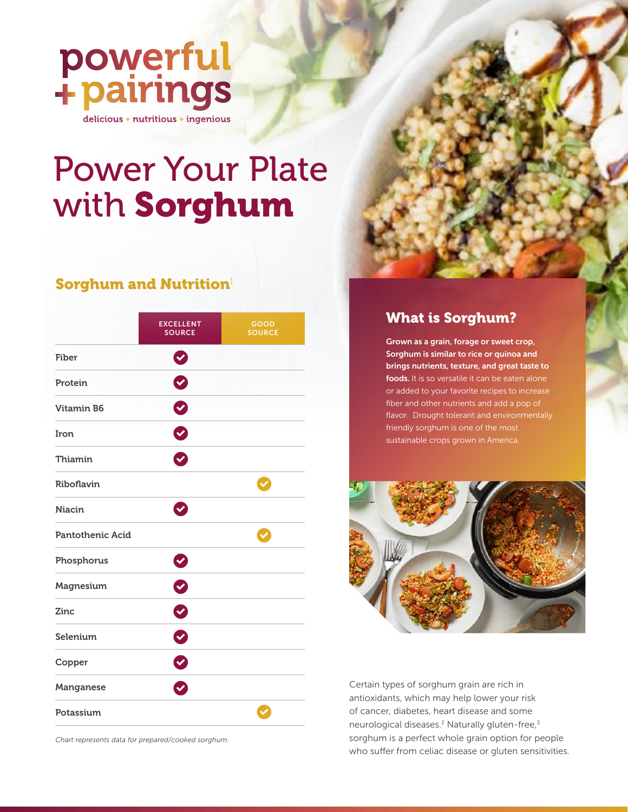

# Power Your Plate with Sorghum

### Sorghum and Nutrition<sup>1</sup>

|                         | <b>EXCELLENT</b><br><b>SOURCE</b> | <b>GOOD</b><br><b>SOURCE</b> |
|-------------------------|-----------------------------------|------------------------------|
| Fiber                   | $\boldsymbol{v}$                  |                              |
| Protein                 | $\bullet$                         |                              |
| <b>Vitamin B6</b>       | $\bullet$                         |                              |
| Iron                    | Ø                                 |                              |
| Thiamin                 | Ø                                 |                              |
| Riboflavin              |                                   | $\checkmark$                 |
| <b>Niacin</b>           | $\bullet$                         |                              |
| <b>Pantothenic Acid</b> |                                   | $\blacktriangledown$         |
| Phosphorus              | $\bullet$                         |                              |
| Magnesium               | 0                                 |                              |
| Zinc                    | $\bullet$                         |                              |
| Selenium                | $\bullet$                         |                              |
| Copper                  | $\bullet$                         |                              |
| Manganese               | Ø                                 |                              |
| Potassium               |                                   | $\checkmark$                 |

*Chart represents data for prepared/cooked sorghum.*

#### What is Sorghum?

Grown as a grain, forage or sweet crop, Sorghum is similar to rice or quinoa and brings nutrients, texture, and great taste to foods. It is so versatile it can be eaten alone or added to your favorite recipes to increase fiber and other nutrients and add a pop of flavor. Drought tolerant and environmentally friendly sorghum is one of the most sustainable crops grown in America.



Certain types of sorghum grain are rich in antioxidants, which may help lower your risk of cancer, diabetes, heart disease and some neurological diseases.<sup>2</sup> Naturally gluten-free,<sup>3</sup> sorghum is a perfect whole grain option for people who suffer from celiac disease or gluten sensitivities.